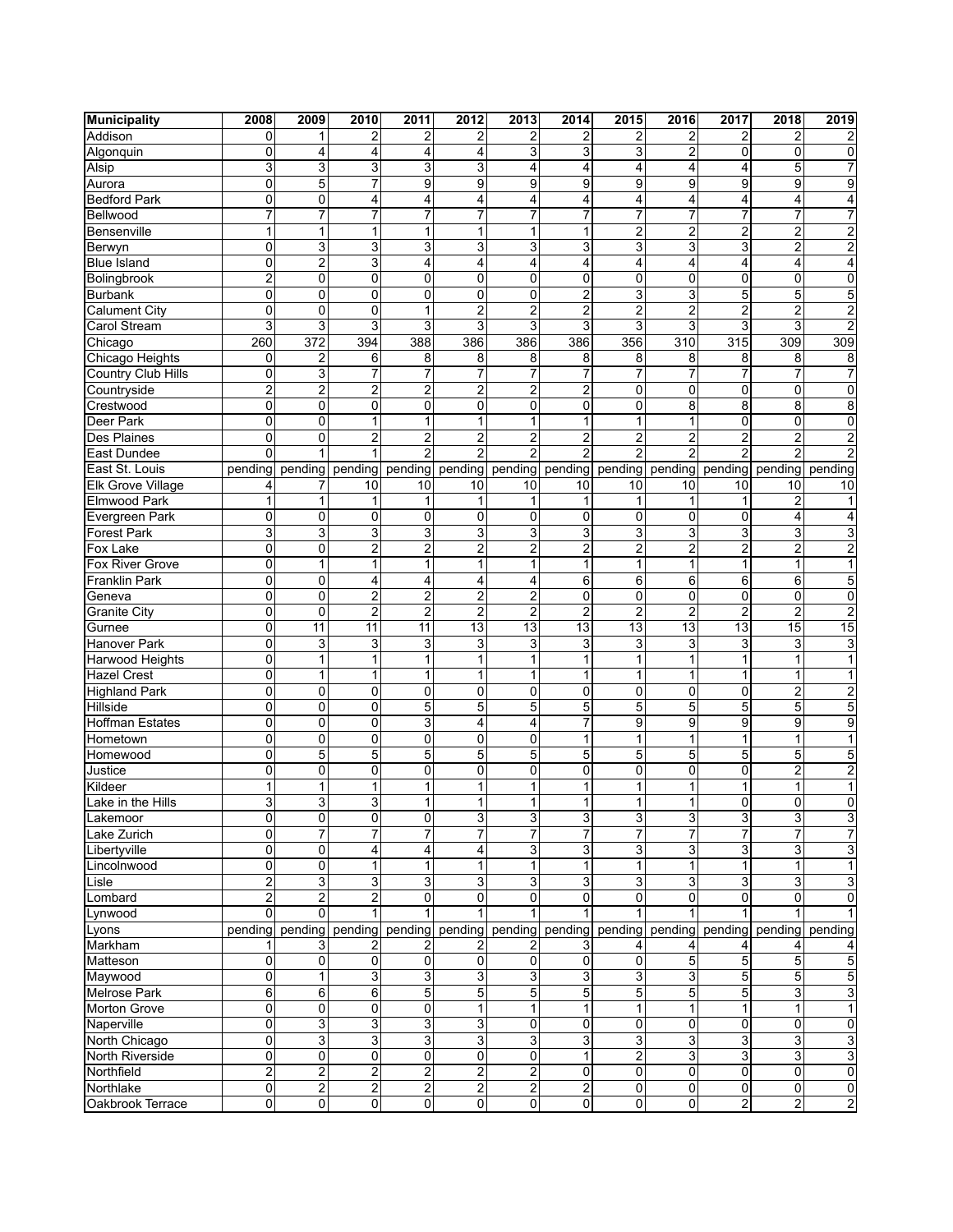| <b>Municipality</b>              | 2008           | 2009                | 2010                    | 2011                    | 2012                    | 2013                | 2014                          | 2015                | 2016                | 2017            | 2018            | 2019                    |
|----------------------------------|----------------|---------------------|-------------------------|-------------------------|-------------------------|---------------------|-------------------------------|---------------------|---------------------|-----------------|-----------------|-------------------------|
| Addison                          | $\Omega$       | 1                   | 2                       | 2                       | 2                       | 2                   | 2                             | 2                   | 2                   | $\overline{2}$  | $\overline{2}$  |                         |
| Algonquin                        | $\mathbf{0}$   | 4                   | 4                       | 4                       | 4                       | 3                   | 3                             | 3                   | 2                   | 0               | 0               | 0                       |
| Alsip                            | 3              | 3                   | $\overline{3}$          | $\overline{3}$          | 3                       | 4                   | 4                             | 4                   | 4                   | 4               | 5               |                         |
| Aurora                           | 0              | 5                   | $\overline{7}$          | 9                       | 9                       | 9                   | 9                             | 9                   | 9                   | 9               | 9               | 9                       |
| <b>Bedford Park</b>              | 0              | 0                   | 4                       | 4                       | 4                       | 4                   | 4                             | 4                   | 4                   | $\overline{4}$  | 4               | 4                       |
| Bellwood                         | $\overline{7}$ | $\overline{7}$      | 7                       | $\overline{7}$          | 7                       | $\overline{7}$      | $\overline{7}$                | 7                   | 7                   | $\overline{7}$  | 7               |                         |
| Bensenville                      | 1              | 1                   | $\overline{1}$          | 1                       | $\overline{1}$          | 1                   | 1                             | $\overline{2}$      | $\overline{2}$      | $\overline{2}$  | $\overline{2}$  | $\overline{2}$          |
| Berwyn                           | 0              | 3                   | 3                       | 3                       | 3                       | 3                   | 3                             | 3                   | 3                   | 3               | $\overline{c}$  | 2                       |
| <b>Blue Island</b>               | 0              | 2                   | 3                       | 4                       | 4                       | 4                   | 4                             | 4                   | 4                   | 4               | 4               | 4                       |
| Bolingbrook                      | $\overline{2}$ | 0                   | $\overline{0}$          | 0                       | 0                       | $\mathbf 0$         | $\mathbf 0$                   | 0                   | 0                   | $\mathbf 0$     | 0               | 0                       |
| Burbank                          | 0              | 0                   | $\overline{0}$          | 0                       | 0                       | 0                   | $\overline{2}$                | 3                   | 3                   | 5               | 5               | 5                       |
| <b>Calument City</b>             | $\mathbf 0$    | 0                   | 0                       | 1                       | $\overline{2}$          | 2                   | $\overline{2}$                | $\overline{2}$      | $\overline{2}$      | $\overline{2}$  | $\overline{2}$  | $\overline{\mathbf{c}}$ |
| Carol Stream                     | $\overline{3}$ | 3                   | $\overline{3}$          | $\overline{3}$          | $\overline{3}$          | $\overline{3}$      | $\overline{3}$                | $\overline{3}$      | $\overline{3}$      | 3               | 3               | $\overline{2}$          |
| Chicago                          | 260            | 372                 | 394                     | 388                     | 386                     | 386                 | 386                           | 356                 | 310                 | 315             | 309             | $\overline{309}$        |
| Chicago Heights                  | 0              | 2                   | 6                       | 8                       | 8                       | 8                   | 8                             | 8                   | 8                   | 8               | 8               | 8                       |
| Country Club Hills               | 0              | 3                   | 7                       | 7                       | $\overline{7}$          | $\overline{7}$      | 7                             | 7                   | 7                   | $\overline{7}$  | 7               |                         |
| Countryside                      | $\overline{2}$ | $\overline{2}$      | $\overline{2}$          | $\overline{2}$          | $\overline{2}$          | $\overline{2}$      | $\overline{2}$                | $\overline{0}$      | 0                   | $\mathbf 0$     | 0               | 0                       |
| Crestwood                        | 0              | 0                   | 0                       | 0                       | 0                       | $\mathbf 0$         | 0                             | 0                   | 8                   | 8               | 8               | 8                       |
| Deer Park                        | 0              | 0                   | 1                       | 1                       | $\mathbf{1}$            | 1                   | 1                             | 1                   | 1                   | $\mathbf 0$     | 0               | 0                       |
| <b>Des Plaines</b>               | 0              | 0                   | $\overline{2}$          | $\overline{2}$          | $\overline{2}$          | $\overline{2}$      | $\overline{2}$                | $\overline{2}$      | $\overline{2}$      | $\overline{2}$  | $\overline{2}$  | $\overline{2}$          |
| East Dundee                      | $\Omega$       |                     | 1                       | $\overline{2}$          | $\overline{2}$          | $\overline{2}$      | $\overline{2}$                | $\overline{2}$      | $\overline{2}$      | $\overline{2}$  | $\mathfrak{p}$  |                         |
| East St. Louis                   | pending        | pending             | pending                 | pending                 | pending                 | pending             | pending                       | pending             | pending             | pending         | pending         | pending                 |
| <b>Elk Grove Village</b>         | 4              | 7                   | 10                      | 10                      | 10                      | 10                  | 10                            | 10                  | 10                  | 10              | 10              | 10                      |
| Elmwood Park                     | 1              | 1                   | 1                       | 1                       | 1                       | 1                   | 1                             | 1                   | 1                   | $\overline{1}$  | $\overline{c}$  | 1                       |
| Evergreen Park                   | 0              | 0                   | 0                       | 0                       | 0                       | 0                   | 0                             | 0                   | 0                   | 0               | 4               | 4                       |
| <b>Forest Park</b>               | 3              | 3                   | 3                       | 3                       | 3                       | 3                   | 3                             | 3                   | 3                   | 3               | 3               | 3                       |
| Fox Lake                         | 0              | $\overline{0}$      | $\overline{2}$          | $\overline{2}$          | $\overline{2}$          | $\overline{2}$      | $\overline{2}$                | $\overline{2}$      | $\overline{2}$      | $\overline{2}$  | $\overline{2}$  | 2                       |
| Fox River Grove                  | 0              | 1                   | 1                       | 1                       | $\mathbf{1}$            | 1                   | 1                             | 1                   | 1                   | $\mathbf{1}$    | 1               |                         |
| <b>Franklin Park</b>             | 0              | 0                   | 4                       | 4                       | 4                       | 4                   | 6                             | 6                   | 6                   | 6               | 6               | 5                       |
| Geneva                           | 0              | 0                   | $\overline{2}$          | $\overline{2}$          | $\overline{2}$          | $\overline{2}$      | $\mathbf 0$                   | 0                   | 0                   | $\mathbf 0$     | 0               | 0                       |
| Granite City                     | 0              | 0                   | $\overline{c}$          | $\overline{2}$          | $\overline{c}$          | $\overline{2}$      | $\overline{c}$                | $\overline{c}$      | $\overline{2}$      | $\overline{2}$  | $\overline{c}$  | $\overline{2}$          |
| Gurnee                           | $\mathbf 0$    | 11                  | $\overline{11}$         | 11                      | $\overline{13}$         | 13                  | $\overline{13}$               | 13                  | 13                  | 13              | $\overline{15}$ | $\overline{15}$         |
| <b>Hanover Park</b>              | 0              | 3                   | 3                       | 3                       | 3                       | 3                   | 3                             | 3                   | 3                   | 3               | 3               | 3                       |
| Harwood Heights                  | 0              | $\mathbf{1}$        | 1                       | 1                       | $\mathbf{1}$            | 1                   | $\mathbf 1$                   | 1                   | 1                   | $\mathbf{1}$    | 1               | 1                       |
| <b>Hazel Crest</b>               | 0              | 1                   | 1                       | 1                       | $\mathbf{1}$            | 1                   | $\mathbf 1$                   | 1                   | 1                   | 1               | 1               | 1                       |
|                                  | 0              | 0                   | $\pmb{0}$               | 0                       | 0                       | 0                   | 0                             | 0                   | 0                   | 0               |                 |                         |
| <b>Highland Park</b><br>Hillside | $\mathbf 0$    | $\overline{0}$      | $\overline{0}$          |                         | 5                       |                     |                               |                     |                     | 5               | 2               | 2                       |
| <b>Hoffman Estates</b>           | 0              | 0                   | 0                       | 5                       |                         | 5                   | 5                             | 5                   | 5                   | 9               | 5<br>9          | 5                       |
|                                  |                |                     |                         | 3                       | 4                       | 4                   | 7                             | 9                   | 9                   |                 |                 | 9                       |
| Hometown                         | 0              | 0<br>$\overline{5}$ | 0<br>$\overline{5}$     | 0<br>5                  | 0<br>$\overline{5}$     | 0<br>$\overline{5}$ | $\mathbf 1$<br>$\overline{5}$ | 1<br>$\overline{5}$ | 1<br>$\overline{5}$ | 1               | 1               |                         |
| Homewood                         | 0              |                     |                         |                         |                         |                     |                               |                     |                     | 5               | 5               | 5                       |
| Justice<br>Kildeer               | 0              | 0                   | 0                       | 0                       | 0                       | 0                   | 0                             | 0                   | 0                   | 0               | $\overline{2}$  | $\overline{2}$          |
|                                  | 1              | 1                   | 1                       | 1                       | $\mathbf{1}$            | 1                   | 1                             | 1                   | 1                   | 1               | 1               | 1                       |
| Lake in the Hills                | $\overline{3}$ | 3                   | 3                       | 1                       | $\mathbf{1}$            | 1                   | 1                             | 1                   | 1                   | 0               | 0               | 0                       |
| Lakemoor                         | $\overline{0}$ | 0                   | 0                       | 0                       | $\overline{3}$          | 3                   | 3                             | 3                   | 3                   | $\overline{3}$  | 3               | $\mathbf{3}$            |
| Lake Zurich                      | $\Omega$       | $\overline{7}$      | $\overline{7}$          | $\overline{7}$          | $\overline{7}$          | 7                   | $\overline{7}$                | $\overline{7}$      | $\overline{7}$      | $\overline{7}$  | $\overline{7}$  | $\overline{7}$          |
| Libertyville                     | $\overline{0}$ | 0                   | $\overline{\mathbf{r}}$ | 4                       | $\overline{\mathbf{r}}$ | 3                   | 3                             | 3                   | 3                   | 3               | 3               | $\overline{3}$          |
| Lincolnwood                      | 0              | $\overline{0}$      | $\overline{1}$          | 1                       | $\overline{1}$          | 1                   | $\overline{1}$                | 1                   | 1                   | 1               | 1               | $\overline{1}$          |
| Lisle                            | $\overline{2}$ | 3                   | 3                       | 3                       | 3                       | 3                   | 3                             | 3                   | 3                   | 3               | 3               | $\overline{3}$          |
| Lombard                          | $\overline{c}$ | 2                   | $\overline{2}$          | $\overline{0}$          | 0                       | 0                   | 0                             | 0                   | 0                   | 0               | 0               | 0                       |
| Lynwood                          | $\Omega$       | $\mathbf{0}$        | 1                       | $\mathbf{1}$            | $\mathbf{1}$            | 1                   | $\mathbf{1}$                  | 1                   | $\mathbf{1}$        |                 |                 | $\mathbf{1}$            |
| Lyons                            | pending        | pending             | pending                 | pending pending pending |                         |                     | pending                       | pending             |                     | pending pending | pending         | pending                 |
| Markham                          |                | 3                   | 2                       | 2                       | 2                       | 2                   | 3                             | 4                   | 4                   | 4               |                 |                         |
| Matteson                         | 0              | 0                   | $\overline{0}$          | 0                       | 0                       | 0                   | 0                             | $\mathbf 0$         | 5                   | 5               | 5               | 5                       |
| Maywood                          | 0              | 1                   | $\overline{3}$          | 3                       | 3                       | 3                   | 3                             | 3                   | 3                   | 5               | 5               | 5                       |
| Melrose Park                     | 6              | 6                   | 6                       | $\overline{5}$          | 5                       | 5                   | $\overline{5}$                | $\overline{5}$      | $\overline{5}$      | 5               | 3               | $\overline{3}$          |
| Morton Grove                     | $\overline{0}$ | 0                   | $\overline{\mathsf{o}}$ | $\overline{0}$          | $\mathbf{1}$            | 1                   | 1                             | 1                   | 1                   | $\mathbf{1}$    | 1               | $\mathbf{1}$            |
| Naperville                       | 0              | 3                   | $\overline{3}$          | 3                       | 3                       | 0                   | $\overline{0}$                | 0                   | 0                   | $\mathbf 0$     | 0               | $\overline{0}$          |
| North Chicago                    | 0              | 3                   | 3                       | 3                       | 3                       | 3                   | 3                             | 3                   | 3                   | 3               | 3               | $\overline{3}$          |
| North Riverside                  | 0              | 0                   | $\overline{0}$          | 0                       | 0                       | 0                   | $\mathbf{1}$                  | $\overline{2}$      | 3                   | 3               | 3               | $\overline{3}$          |
| Northfield                       | $\overline{2}$ | $\overline{2}$      | $\overline{2}$          | $\overline{2}$          | $\overline{2}$          | $\overline{2}$      | 0                             | 0                   | 0                   | 0               | 0               | $\overline{0}$          |
| Northlake                        | $\overline{0}$ | $\overline{2}$      | $\overline{2}$          | $\overline{2}$          | $\overline{2}$          | 2                   | $\overline{\mathbf{c}}$       | 0                   | 0                   | 0               | $\overline{0}$  | $\overline{0}$          |
| Oakbrook Terrace                 | $\Omega$       | 0                   | 0                       | 0                       | 0                       | 0                   | 0                             | 0                   | 0                   | $\overline{c}$  | $\overline{2}$  | $\overline{2}$          |